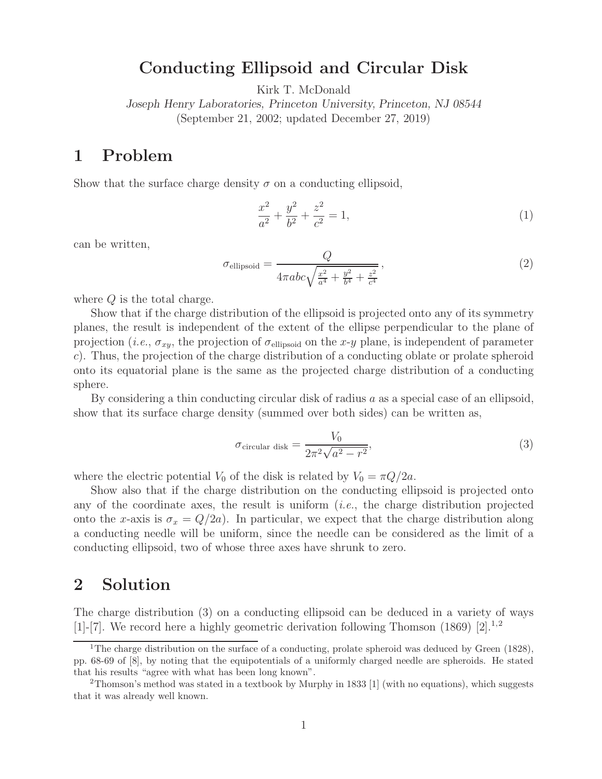## **Conducting Ellipsoid and Circular Disk**

Kirk T. McDonald

*Joseph Henry Laboratories, Princeton University, Princeton, NJ 08544* (September 21, 2002; updated December 27, 2019)

## **1 Problem**

Show that the surface charge density  $\sigma$  on a conducting ellipsoid,

$$
\frac{x^2}{a^2} + \frac{y^2}{b^2} + \frac{z^2}{c^2} = 1,
$$
\n(1)

can be written,

$$
\sigma_{\text{ellipsoid}} = \frac{Q}{4\pi abc \sqrt{\frac{x^2}{a^4} + \frac{y^2}{b^4} + \frac{z^2}{c^4}}},\tag{2}
$$

where Q is the total charge.

Show that if the charge distribution of the ellipsoid is projected onto any of its symmetry planes, the result is independent of the extent of the ellipse perpendicular to the plane of projection (*i.e.*,  $\sigma_{xy}$ , the projection of  $\sigma_{\text{ellipsoid}}$  on the x-y plane, is independent of parameter c). Thus, the projection of the charge distribution of a conducting oblate or prolate spheroid onto its equatorial plane is the same as the projected charge distribution of a conducting sphere.

By considering a thin conducting circular disk of radius  $a$  as a special case of an ellipsoid, show that its surface charge density (summed over both sides) can be written as,

$$
\sigma_{\text{circular disk}} = \frac{V_0}{2\pi^2 \sqrt{a^2 - r^2}},\tag{3}
$$

where the electric potential  $V_0$  of the disk is related by  $V_0 = \pi Q/2a$ .

Show also that if the charge distribution on the conducting ellipsoid is projected onto any of the coordinate axes, the result is uniform (*i.e.*, the charge distribution projected onto the x-axis is  $\sigma_x = Q/2a$ . In particular, we expect that the charge distribution along a conducting needle will be uniform, since the needle can be considered as the limit of a conducting ellipsoid, two of whose three axes have shrunk to zero.

## **2 Solution**

The charge distribution (3) on a conducting ellipsoid can be deduced in a variety of ways [1]-[7]. We record here a highly geometric derivation following Thomson (1869) [2].<sup>1,2</sup>

<sup>&</sup>lt;sup>1</sup>The charge distribution on the surface of a conducting, prolate spheroid was deduced by Green (1828), pp. 68-69 of [8], by noting that the equipotentials of a uniformly charged needle are spheroids. He stated that his results "agree with what has been long known".

<sup>2</sup>Thomson's method was stated in a textbook by Murphy in 1833 [1] (with no equations), which suggests that it was already well known.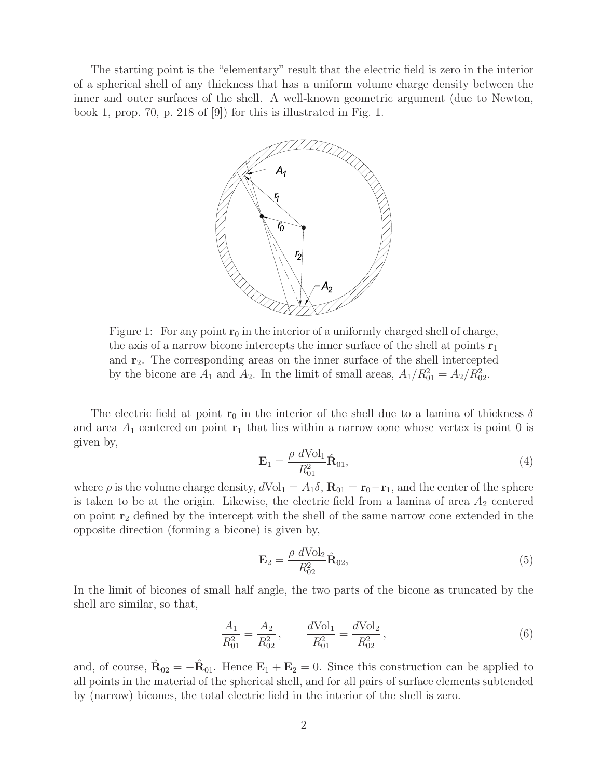The starting point is the "elementary" result that the electric field is zero in the interior of a spherical shell of any thickness that has a uniform volume charge density between the inner and outer surfaces of the shell. A well-known geometric argument (due to Newton, book 1, prop. 70, p. 218 of [9]) for this is illustrated in Fig. 1.



Figure 1: For any point  $\mathbf{r}_0$  in the interior of a uniformly charged shell of charge, the axis of a narrow bicone intercepts the inner surface of the shell at points **r**<sup>1</sup> and **r**2. The corresponding areas on the inner surface of the shell intercepted by the bicone are  $A_1$  and  $A_2$ . In the limit of small areas,  $A_1/R_{01}^2 = A_2/R_{02}^2$ .

The electric field at point **r**<sub>0</sub> in the interior of the shell due to a lamina of thickness  $\delta$ and area  $A_1$  centered on point  $\mathbf{r}_1$  that lies within a narrow cone whose vertex is point 0 is given by,

$$
\mathbf{E}_1 = \frac{\rho \ d \text{Vol}_1}{R_{01}^2} \hat{\mathbf{R}}_{01},\tag{4}
$$

where  $\rho$  is the volume charge density,  $dVol_1 = A_1 \delta$ ,  $\mathbf{R}_{01} = \mathbf{r}_0 - \mathbf{r}_1$ , and the center of the sphere is taken to be at the origin. Likewise, the electric field from a lamina of area  $A_2$  centered on point **r**<sup>2</sup> defined by the intercept with the shell of the same narrow cone extended in the opposite direction (forming a bicone) is given by,

$$
\mathbf{E}_2 = \frac{\rho \ d \text{Vol}_2}{R_{02}^2} \hat{\mathbf{R}}_{02},\tag{5}
$$

In the limit of bicones of small half angle, the two parts of the bicone as truncated by the shell are similar, so that,

$$
\frac{A_1}{R_{01}^2} = \frac{A_2}{R_{02}^2}, \qquad \frac{d\text{Vol}_1}{R_{01}^2} = \frac{d\text{Vol}_2}{R_{02}^2}, \qquad (6)
$$

and, of course,  $\hat{\mathbf{R}}_{02} = -\hat{\mathbf{R}}_{01}$ . Hence  $\mathbf{E}_1 + \mathbf{E}_2 = 0$ . Since this construction can be applied to all points in the material of the spherical shell, and for all pairs of surface elements subtended by (narrow) bicones, the total electric field in the interior of the shell is zero.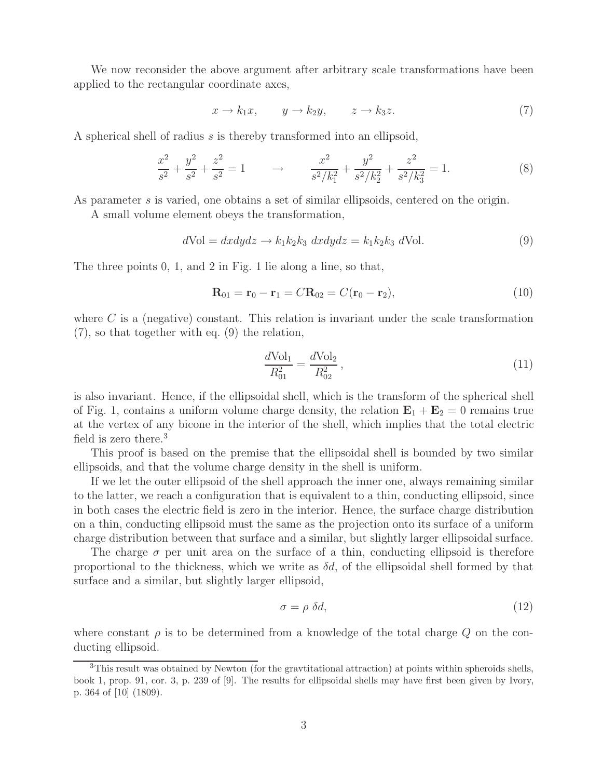We now reconsider the above argument after arbitrary scale transformations have been applied to the rectangular coordinate axes,

$$
x \to k_1 x, \qquad y \to k_2 y, \qquad z \to k_3 z. \tag{7}
$$

A spherical shell of radius s is thereby transformed into an ellipsoid,

$$
\frac{x^2}{s^2} + \frac{y^2}{s^2} + \frac{z^2}{s^2} = 1 \qquad \to \qquad \frac{x^2}{s^2/k_1^2} + \frac{y^2}{s^2/k_2^2} + \frac{z^2}{s^2/k_3^2} = 1. \tag{8}
$$

As parameter s is varied, one obtains a set of similar ellipsoids, centered on the origin.

A small volume element obeys the transformation,

$$
d\text{Vol} = dxdydz \to k_1k_2k_3 \ dxdydz = k_1k_2k_3 \ d\text{Vol}.
$$
\n(9)

The three points 0, 1, and 2 in Fig. 1 lie along a line, so that,

$$
\mathbf{R}_{01} = \mathbf{r}_0 - \mathbf{r}_1 = C \mathbf{R}_{02} = C(\mathbf{r}_0 - \mathbf{r}_2), \tag{10}
$$

where  $C$  is a (negative) constant. This relation is invariant under the scale transformation (7), so that together with eq. (9) the relation,

$$
\frac{d\text{Vol}_1}{R_{01}^2} = \frac{d\text{Vol}_2}{R_{02}^2},\tag{11}
$$

is also invariant. Hence, if the ellipsoidal shell, which is the transform of the spherical shell of Fig. 1, contains a uniform volume charge density, the relation  $\mathbf{E}_1 + \mathbf{E}_2 = 0$  remains true at the vertex of any bicone in the interior of the shell, which implies that the total electric field is zero there.<sup>3</sup>

This proof is based on the premise that the ellipsoidal shell is bounded by two similar ellipsoids, and that the volume charge density in the shell is uniform.

If we let the outer ellipsoid of the shell approach the inner one, always remaining similar to the latter, we reach a configuration that is equivalent to a thin, conducting ellipsoid, since in both cases the electric field is zero in the interior. Hence, the surface charge distribution on a thin, conducting ellipsoid must the same as the projection onto its surface of a uniform charge distribution between that surface and a similar, but slightly larger ellipsoidal surface.

The charge  $\sigma$  per unit area on the surface of a thin, conducting ellipsoid is therefore proportional to the thickness, which we write as  $\delta d$ , of the ellipsoidal shell formed by that surface and a similar, but slightly larger ellipsoid,

$$
\sigma = \rho \, \delta d,\tag{12}
$$

where constant  $\rho$  is to be determined from a knowledge of the total charge  $Q$  on the conducting ellipsoid.

<sup>&</sup>lt;sup>3</sup>This result was obtained by Newton (for the gravitational attraction) at points within spheroids shells, book 1, prop. 91, cor. 3, p. 239 of [9]. The results for ellipsoidal shells may have first been given by Ivory, p. 364 of [10] (1809).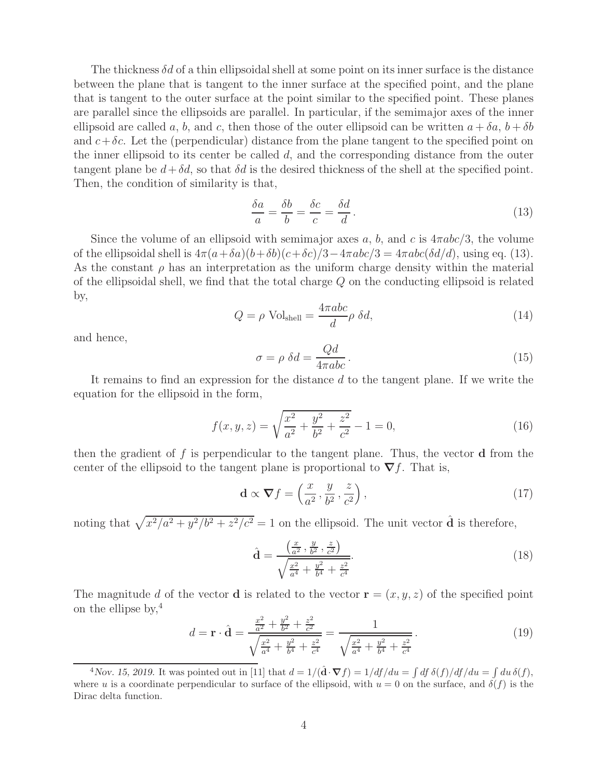The thickness  $\delta d$  of a thin ellipsoidal shell at some point on its inner surface is the distance between the plane that is tangent to the inner surface at the specified point, and the plane that is tangent to the outer surface at the point similar to the specified point. These planes are parallel since the ellipsoids are parallel. In particular, if the semimajor axes of the inner ellipsoid are called a, b, and c, then those of the outer ellipsoid can be written  $a + \delta a$ ,  $b + \delta b$ and  $c+\delta c$ . Let the (perpendicular) distance from the plane tangent to the specified point on the inner ellipsoid to its center be called  $d$ , and the corresponding distance from the outer tangent plane be  $d + \delta d$ , so that  $\delta d$  is the desired thickness of the shell at the specified point. Then, the condition of similarity is that,

$$
\frac{\delta a}{a} = \frac{\delta b}{b} = \frac{\delta c}{c} = \frac{\delta d}{d}.
$$
\n(13)

Since the volume of an ellipsoid with semimajor axes a, b, and c is  $4\pi abc/3$ , the volume of the ellipsoidal shell is  $4\pi(a+\delta a)(b+\delta b)(c+\delta c)/3-4\pi abc/3=4\pi abc(\delta d/d)$ , using eq. (13). As the constant  $\rho$  has an interpretation as the uniform charge density within the material of the ellipsoidal shell, we find that the total charge  $Q$  on the conducting ellipsoid is related by,

$$
Q = \rho \text{ Vol}_{\text{shell}} = \frac{4\pi abc}{d} \rho \delta d,\tag{14}
$$

and hence,

$$
\sigma = \rho \ \delta d = \frac{Qd}{4\pi abc} \,. \tag{15}
$$

It remains to find an expression for the distance d to the tangent plane. If we write the equation for the ellipsoid in the form,

$$
f(x, y, z) = \sqrt{\frac{x^2}{a^2} + \frac{y^2}{b^2} + \frac{z^2}{c^2}} - 1 = 0,
$$
\n(16)

then the gradient of f is perpendicular to the tangent plane. Thus, the vector **d** from the center of the ellipsoid to the tangent plane is proportional to  $\nabla f$ . That is,

$$
\mathbf{d} \propto \nabla f = \left(\frac{x}{a^2}, \frac{y}{b^2}, \frac{z}{c^2}\right),\tag{17}
$$

noting that  $\sqrt{x^2/a^2 + y^2/b^2 + z^2/c^2} = 1$  on the ellipsoid. The unit vector  $\hat{\mathbf{d}}$  is therefore,

$$
\hat{\mathbf{d}} = \frac{\left(\frac{x}{a^2}, \frac{y}{b^2}, \frac{z}{c^2}\right)}{\sqrt{\frac{x^2}{a^4} + \frac{y^2}{b^4} + \frac{z^2}{c^4}}}.
$$
\n(18)

The magnitude d of the vector **d** is related to the vector  $\mathbf{r} = (x, y, z)$  of the specified point on the ellipse by,  $4$ 

$$
d = \mathbf{r} \cdot \hat{\mathbf{d}} = \frac{\frac{x^2}{a^2} + \frac{y^2}{b^2} + \frac{z^2}{c^2}}{\sqrt{\frac{x^2}{a^4} + \frac{y^2}{b^4} + \frac{z^2}{c^4}}} = \frac{1}{\sqrt{\frac{x^2}{a^4} + \frac{y^2}{b^4} + \frac{z^2}{c^4}}}.
$$
(19)

<sup>&</sup>lt;sup>4</sup>Nov. 15, 2019. It was pointed out in [11] that  $d = 1/(\hat{\mathbf{d}} \cdot \nabla f) = 1/df/du = \int df \delta(f)/df/du = \int du \delta(f)$ , where u is a coordinate perpendicular to surface of the ellipsoid, with  $u = 0$  on the surface, and  $\delta(f)$  is the Dirac delta function.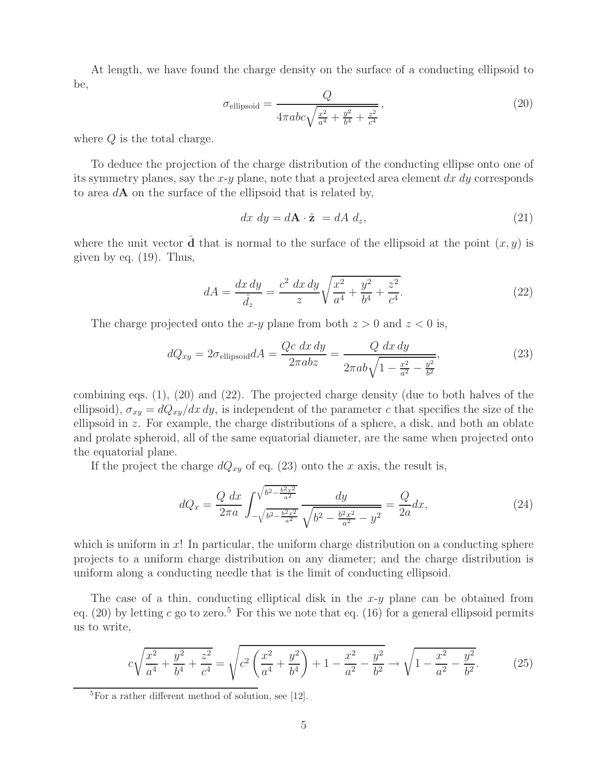At length, we have found the charge density on the surface of a conducting ellipsoid to be,

$$
\sigma_{\text{ellipsoid}} = \frac{Q}{4\pi abc \sqrt{\frac{x^2}{a^4} + \frac{y^2}{b^4} + \frac{z^2}{c^4}}},\tag{20}
$$

where Q is the total charge.

To deduce the projection of the charge distribution of the conducting ellipse onto one of its symmetry planes, say the  $x-y$  plane, note that a projected area element  $dx\,dy$  corresponds to area d**A** on the surface of the ellipsoid that is related by,

$$
dx dy = d\mathbf{A} \cdot \hat{\mathbf{z}} = dA d_z, \qquad (21)
$$

where the unit vector  $\hat{d}$  that is normal to the surface of the ellipsoid at the point  $(x, y)$  is given by eq. (19). Thus,

$$
dA = \frac{dx\,dy}{\hat{d}_z} = \frac{c^2\,dx\,dy}{z}\sqrt{\frac{x^2}{a^4} + \frac{y^2}{b^4} + \frac{z^2}{c^4}}.\tag{22}
$$

The charge projected onto the x-y plane from both  $z > 0$  and  $z < 0$  is,

$$
dQ_{xy} = 2\sigma_{\text{ellipsoid}} dA = \frac{Qc \, dx \, dy}{2\pi abz} = \frac{Q \, dx \, dy}{2\pi ab \sqrt{1 - \frac{x^2}{a^2} - \frac{y^2}{b^2}}},\tag{23}
$$

combining eqs. (1), (20) and (22). The projected charge density (due to both halves of the ellipsoid),  $\sigma_{xy} = dQ_{xy}/dx\,dy$ , is independent of the parameter c that specifies the size of the ellipsoid in z. For example, the charge distributions of a sphere, a disk, and both an oblate and prolate spheroid, all of the same equatorial diameter, are the same when projected onto the equatorial plane.

If the project the charge  $dQ_{xy}$  of eq. (23) onto the x axis, the result is,

$$
dQ_x = \frac{Q}{2\pi a} \int_{-\sqrt{b^2 - \frac{b^2 x^2}{a^2}}}^{\sqrt{b^2 - \frac{b^2 x^2}{a^2}}} \frac{dy}{\sqrt{b^2 - \frac{b^2 x^2}{a^2} - y^2}} = \frac{Q}{2a} dx,\tag{24}
$$

which is uniform in x! In particular, the uniform charge distribution on a conducting sphere projects to a uniform charge distribution on any diameter; and the charge distribution is uniform along a conducting needle that is the limit of conducting ellipsoid.

The case of a thin, conducting elliptical disk in the  $x-y$  plane can be obtained from eq. (20) by letting c go to zero.<sup>5</sup> For this we note that eq. (16) for a general ellipsoid permits us to write,

$$
c\sqrt{\frac{x^2}{a^4} + \frac{y^2}{b^4} + \frac{z^2}{c^4}} = \sqrt{c^2 \left(\frac{x^2}{a^4} + \frac{y^2}{b^4}\right) + 1 - \frac{x^2}{a^2} - \frac{y^2}{b^2}} \rightarrow \sqrt{1 - \frac{x^2}{a^2} - \frac{y^2}{b^2}}.
$$
 (25)

 ${}^{5}$ For a rather different method of solution, see [12].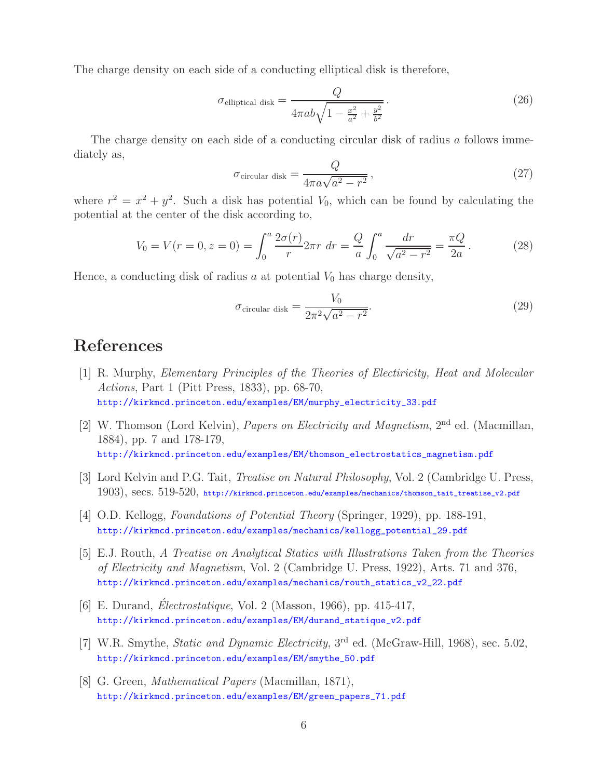The charge density on each side of a conducting elliptical disk is therefore,

$$
\sigma_{\text{elliptical disk}} = \frac{Q}{4\pi ab\sqrt{1 - \frac{x^2}{a^2} + \frac{y^2}{b^2}}}.
$$
\n(26)

The charge density on each side of a conducting circular disk of radius a follows immediately as,

$$
\sigma_{\text{circular disk}} = \frac{Q}{4\pi a\sqrt{a^2 - r^2}},\tag{27}
$$

where  $r^2 = x^2 + y^2$ . Such a disk has potential  $V_0$ , which can be found by calculating the potential at the center of the disk according to,

$$
V_0 = V(r = 0, z = 0) = \int_0^a \frac{2\sigma(r)}{r} 2\pi r \, dr = \frac{Q}{a} \int_0^a \frac{dr}{\sqrt{a^2 - r^2}} = \frac{\pi Q}{2a} \,. \tag{28}
$$

Hence, a conducting disk of radius a at potential  $V_0$  has charge density,

$$
\sigma_{\text{circular disk}} = \frac{V_0}{2\pi^2 \sqrt{a^2 - r^2}}.
$$
\n(29)

## **References**

- [1] R. Murphy, *Elementary Principles of the Theories of Electiricity, Heat and Molecular Actions*, Part 1 (Pitt Press, 1833), pp. 68-70, http://kirkmcd.princeton.edu/examples/EM/murphy\_electricity\_33.pdf
- [2] W. Thomson (Lord Kelvin), *Papers on Electricity and Magnetism*, 2nd ed. (Macmillan, 1884), pp. 7 and 178-179, http://kirkmcd.princeton.edu/examples/EM/thomson\_electrostatics\_magnetism.pdf
- [3] Lord Kelvin and P.G. Tait, *Treatise on Natural Philosophy*, Vol. 2 (Cambridge U. Press, 1903), secs. 519-520, http://kirkmcd.princeton.edu/examples/mechanics/thomson\_tait\_treatise\_v2.pdf
- [4] O.D. Kellogg, *Foundations of Potential Theory* (Springer, 1929), pp. 188-191, http://kirkmcd.princeton.edu/examples/mechanics/kellogg\_potential\_29.pdf
- [5] E.J. Routh, *A Treatise on Analytical Statics with Illustrations Taken from the Theories of Electricity and Magnetism*, Vol. 2 (Cambridge U. Press, 1922), Arts. 71 and 376, http://kirkmcd.princeton.edu/examples/mechanics/routh\_statics\_v2\_22.pdf
- [6] E. Durand, *Electrostatique*, Vol. 2 (Masson, 1966), pp. 415-417, http://kirkmcd.princeton.edu/examples/EM/durand\_statique\_v2.pdf
- [7] W.R. Smythe, *Static and Dynamic Electricity*, 3rd ed. (McGraw-Hill, 1968), sec. 5.02, http://kirkmcd.princeton.edu/examples/EM/smythe\_50.pdf
- [8] G. Green, *Mathematical Papers* (Macmillan, 1871), http://kirkmcd.princeton.edu/examples/EM/green\_papers\_71.pdf